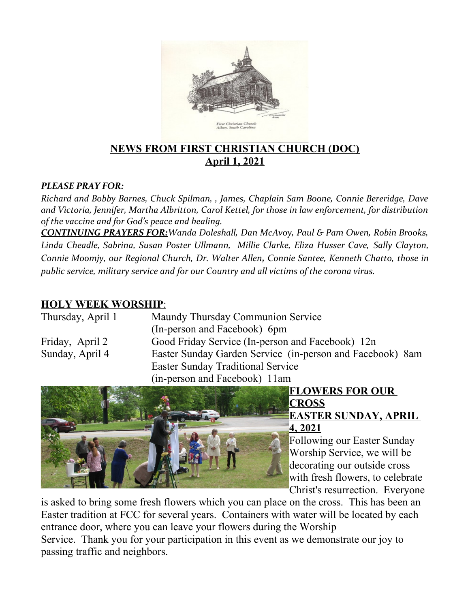

### **NEWS FROM FIRST CHRISTIAN CHURCH (DOC) April 1, 2021**

#### *PLEASE PRAY FOR:*

*Richard and Bobby Barnes, Chuck Spilman, , James, Chaplain Sam Boone, Connie Bereridge, Dave and Victoria, Jennifer, Martha Albritton, Carol Kettel, for those in law enforcement, for distribution of the vaccine and for God's peace and healing.*

*CONTINUING PRAYERS FOR:Wanda Doleshall, Dan McAvoy, Paul & Pam Owen, Robin Brooks, Linda Cheadle, Sabrina, Susan Poster Ullmann, Millie Clarke, Eliza Husser Cave, Sally Clayton, Connie Moomjy, our Regional Church, Dr. Walter Allen, Connie Santee, Kenneth Chatto, those in public service, military service and for our Country and all victims of the corona virus.* 

#### **HOLY WEEK WORSHIP** :

| Thursday, April 1 | Maundy Thursday Communion Service<br>(In-person and Facebook) 6pm |  |
|-------------------|-------------------------------------------------------------------|--|
| Friday, April 2   | Good Friday Service (In-person and Facebook) 12n                  |  |
| Sunday, April 4   | Easter Sunday Garden Service (in-person and Facebook) 8am         |  |
|                   | <b>Easter Sunday Traditional Service</b>                          |  |
|                   | (in-person and Facebook) 11am                                     |  |
|                   |                                                                   |  |



# **FLOWERS FOR OUR**

#### **CROSS EASTER SUNDAY, APRIL 4, 2021**

Following our Easter Sunday Worship Service, we will be decorating our outside cross with fresh flowers, to celebrate Christ's resurrection. Everyone

is asked to bring some fresh flowers which you can place on the cross. This has been an Easter tradition at FCC for several years. Containers with water will be located by each entrance door, where you can leave your flowers during the Worship

Service. Thank you for your participation in this event as we demonstrate our joy to passing traffic and neighbors.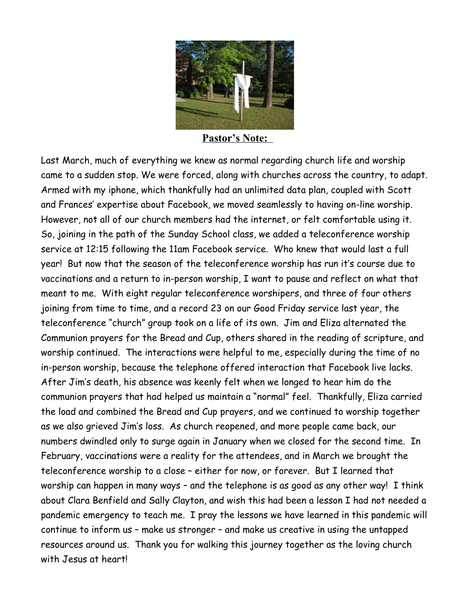

**Pastor's Note:** 

Last March, much of everything we knew as normal regarding church life and worship came to a sudden stop. We were forced, along with churches across the country, to adapt. Armed with my iphone, which thankfully had an unlimited data plan, coupled with Scott and Frances' expertise about Facebook, we moved seamlessly to having on-line worship. However, not all of our church members had the internet, or felt comfortable using it. So, joining in the path of the Sunday School class, we added a teleconference worship service at 12:15 following the 11am Facebook service. Who knew that would last a full year! But now that the season of the teleconference worship has run it's course due to vaccinations and a return to in-person worship, I want to pause and reflect on what that meant to me. With eight regular teleconference worshipers, and three of four others joining from time to time, and a record 23 on our Good Friday service last year, the teleconference "church" group took on a life of its own. Jim and Eliza alternated the Communion prayers for the Bread and Cup, others shared in the reading of scripture, and worship continued. The interactions were helpful to me, especially during the time of no in-person worship, because the telephone offered interaction that Facebook live lacks. After Jim's death, his absence was keenly felt when we longed to hear him do the communion prayers that had helped us maintain a "normal" feel. Thankfully, Eliza carried the load and combined the Bread and Cup prayers, and we continued to worship together as we also grieved Jim's loss. As church reopened, and more people came back, our numbers dwindled only to surge again in January when we closed for the second time. In February, vaccinations were a reality for the attendees, and in March we brought the teleconference worship to a close – either for now, or forever. But I learned that worship can happen in many ways – and the telephone is as good as any other way! I think about Clara Benfield and Sally Clayton, and wish this had been a lesson I had not needed a pandemic emergency to teach me. I pray the lessons we have learned in this pandemic will continue to inform us – make us stronger – and make us creative in using the untapped resources around us. Thank you for walking this journey together as the loving church with Jesus at heart!